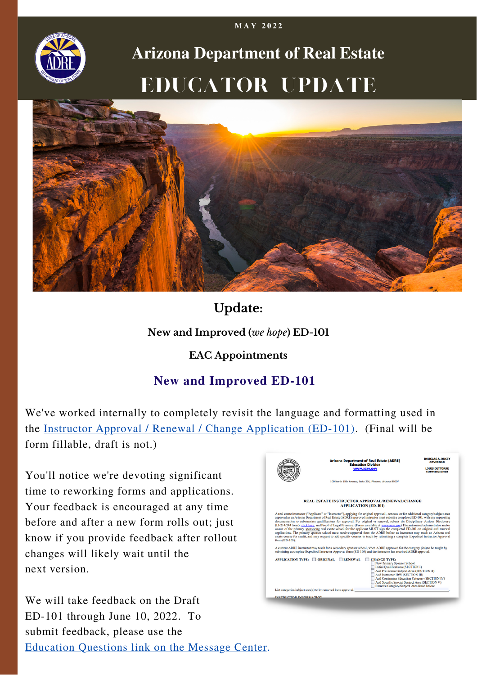

# **Arizona Department of Real Estate** Educator Update



## **Update:**

#### **New and Improved (***we hope***) ED-101**

#### **EAC Appointments**

### **New and Improved ED-101**

We've worked internally to completely revisit the language and formatting used in the Instructor Approval / Renewal / Change [Application](https://azre.gov/sites/default/files/20220531%20-%20DRAFT%20-%20ED-101%20-%20Instructor%20Approval.pdf) (ED-101). (Final will be form fillable, draft is not.)

You'll notice we're devoting significant time to reworking forms and applications. Your feedback is encouraged at any time before and after a new form rolls out; just know if you provide feedback after rollout changes will likely wait until the next version.

We will take feedback on the Draft ED-101 through June 10, 2022. To submit feedback, please use the [Education](https://azre.gov/message-center) Questions link on the Message Center.



**M A Y 2 0 2 2**